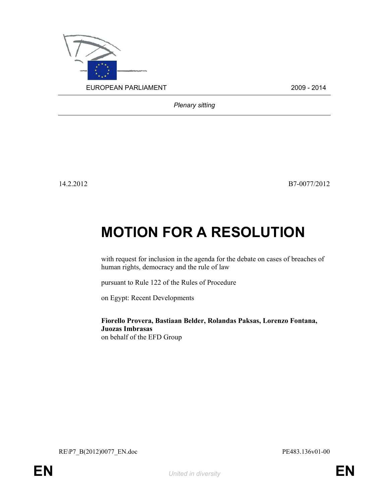

Plenary sitting

14.2.2012 B7-0077/2012

## MOTION FOR A RESOLUTION

with request for inclusion in the agenda for the debate on cases of breaches of human rights, democracy and the rule of law

pursuant to Rule 122 of the Rules of Procedure

on Egypt: Recent Developments

Fiorello Provera, Bastiaan Belder, Rolandas Paksas, Lorenzo Fontana, Juozas Imbrasas on behalf of the EFD Group

RE\P7\_B(2012)0077\_EN.doc PE483.136v01-00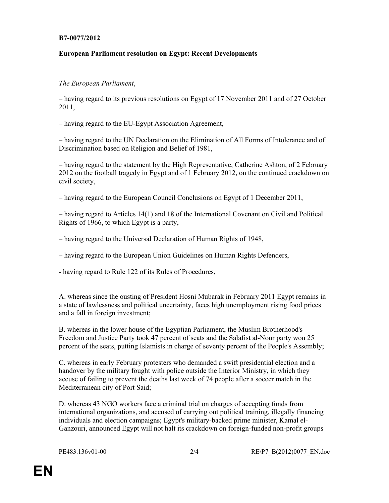## B7-0077/2012

## European Parliament resolution on Egypt: Recent Developments

## The European Parliament,

– having regard to its previous resolutions on Egypt of 17 November 2011 and of 27 October 2011,

– having regard to the EU-Egypt Association Agreement,

– having regard to the UN Declaration on the Elimination of All Forms of Intolerance and of Discrimination based on Religion and Belief of 1981,

– having regard to the statement by the High Representative, Catherine Ashton, of 2 February 2012 on the football tragedy in Egypt and of 1 February 2012, on the continued crackdown on civil society,

– having regard to the European Council Conclusions on Egypt of 1 December 2011,

– having regard to Articles 14(1) and 18 of the International Covenant on Civil and Political Rights of 1966, to which Egypt is a party,

– having regard to the Universal Declaration of Human Rights of 1948,

– having regard to the European Union Guidelines on Human Rights Defenders,

- having regard to Rule 122 of its Rules of Procedures,

A. whereas since the ousting of President Hosni Mubarak in February 2011 Egypt remains in a state of lawlessness and political uncertainty, faces high unemployment rising food prices and a fall in foreign investment;

B. whereas in the lower house of the Egyptian Parliament, the Muslim Brotherhood's Freedom and Justice Party took 47 percent of seats and the Salafist al-Nour party won 25 percent of the seats, putting Islamists in charge of seventy percent of the People's Assembly;

C. whereas in early February protesters who demanded a swift presidential election and a handover by the military fought with police outside the Interior Ministry, in which they accuse of failing to prevent the deaths last week of 74 people after a soccer match in the Mediterranean city of Port Said;

D. whereas 43 NGO workers face a criminal trial on charges of accepting funds from international organizations, and accused of carrying out political training, illegally financing individuals and election campaigns; Egypt's military-backed prime minister, Kamal el-Ganzouri, announced Egypt will not halt its crackdown on foreign-funded non-profit groups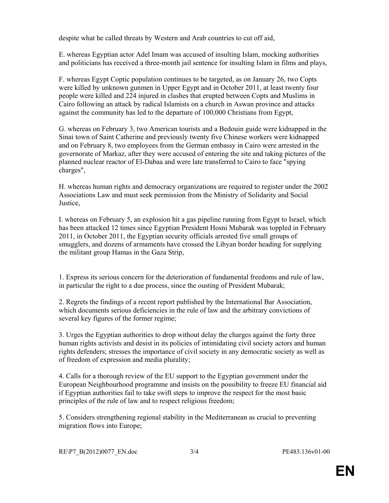despite what he called threats by Western and Arab countries to cut off aid,

E. whereas Egyptian actor Adel Imam was accused of insulting Islam, mocking authorities and politicians has received a three-month jail sentence for insulting Islam in films and plays,

F. whereas Egypt Coptic population continues to be targeted, as on January 26, two Copts were killed by unknown gunmen in Upper Egypt and in October 2011, at least twenty four people were killed and 224 injured in clashes that erupted between Copts and Muslims in Cairo following an attack by radical Islamists on a church in Aswan province and attacks against the community has led to the departure of 100,000 Christians from Egypt,

G. whereas on February 3, two American tourists and a Bedouin guide were kidnapped in the Sinai town of Saint Catherine and previously twenty five Chinese workers were kidnapped and on February 8, two employees from the German embassy in Cairo were arrested in the governorate of Markaz, after they were accused of entering the site and taking pictures of the planned nuclear reactor of El-Dabaa and were late transferred to Cairo to face "spying charges",

H. whereas human rights and democracy organizations are required to register under the 2002 Associations Law and must seek permission from the Ministry of Solidarity and Social Justice,

I. whereas on February 5, an explosion hit a gas pipeline running from Egypt to Israel, which has been attacked 12 times since Egyptian President Hosni Mubarak was toppled in February 2011, in October 2011, the Egyptian security officials arrested five small groups of smugglers, and dozens of armaments have crossed the Libyan border heading for supplying the militant group Hamas in the Gaza Strip,

1. Express its serious concern for the deterioration of fundamental freedoms and rule of law, in particular the right to a due process, since the ousting of President Mubarak;

2. Regrets the findings of a recent report published by the International Bar Association, which documents serious deficiencies in the rule of law and the arbitrary convictions of several key figures of the former regime;

3. Urges the Egyptian authorities to drop without delay the charges against the forty three human rights activists and desist in its policies of intimidating civil society actors and human rights defenders; stresses the importance of civil society in any democratic society as well as of freedom of expression and media plurality;

4. Calls for a thorough review of the EU support to the Egyptian government under the European Neighbourhood programme and insists on the possibility to freeze EU financial aid if Egyptian authorities fail to take swift steps to improve the respect for the most basic principles of the rule of law and to respect religious freedom;

5. Considers strengthening regional stability in the Mediterranean as crucial to preventing migration flows into Europe;